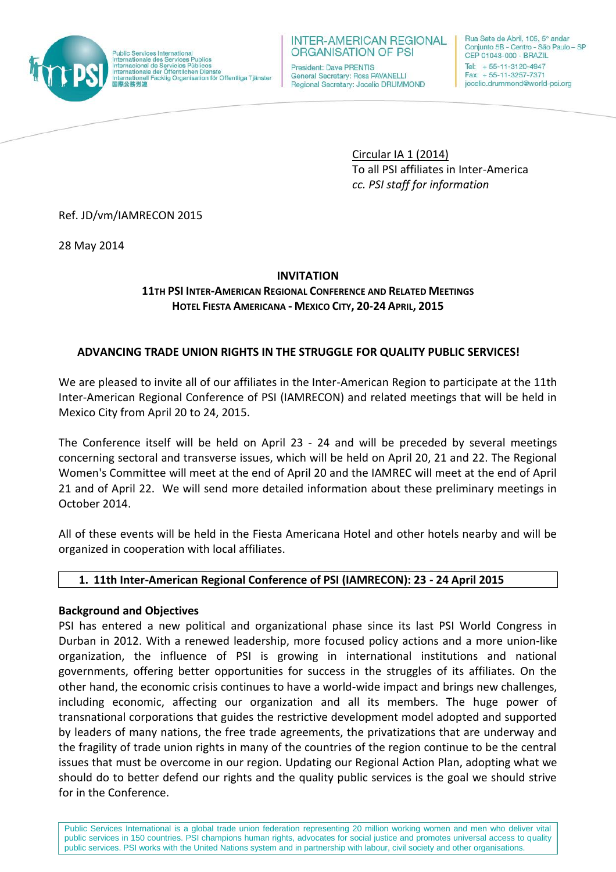

#### **INTER-AMERICAN REGIONAL ORGANISATION OF PSI**

President: Dave PRENTIS General Secretary: Rosa PAVANELLI Regional Secretary: Jocelio DRUMMOND Rua Sete de Abril, 105, 5° andar Conjunto 5B - Centro - São Paulo - SP CEP 01043-000 - BRAZIL Tel: +55-11-3120-4947 Fax: +55-11-3257-7371 jocelio.drummond@world-psi.org

Circular IA 1 (2014) To all PSI affiliates in Inter-America *cc. PSI staff for information*

Ref. JD/vm/IAMRECON 2015

28 May 2014

# **INVITATION**

# **11TH PSI INTER-AMERICAN REGIONAL CONFERENCE AND RELATED MEETINGS HOTEL FIESTA AMERICANA - MEXICO CITY, 20-24 APRIL, 2015**

# **ADVANCING TRADE UNION RIGHTS IN THE STRUGGLE FOR QUALITY PUBLIC SERVICES!**

We are pleased to invite all of our affiliates in the Inter-American Region to participate at the 11th Inter-American Regional Conference of PSI (IAMRECON) and related meetings that will be held in Mexico City from April 20 to 24, 2015.

The Conference itself will be held on April 23 - 24 and will be preceded by several meetings concerning sectoral and transverse issues, which will be held on April 20, 21 and 22. The Regional Women's Committee will meet at the end of April 20 and the IAMREC will meet at the end of April 21 and of April 22. We will send more detailed information about these preliminary meetings in October 2014.

All of these events will be held in the Fiesta Americana Hotel and other hotels nearby and will be organized in cooperation with local affiliates.

## **1. 11th Inter-American Regional Conference of PSI (IAMRECON): 23 - 24 April 2015**

## **Background and Objectives**

PSI has entered a new political and organizational phase since its last PSI World Congress in Durban in 2012. With a renewed leadership, more focused policy actions and a more union-like organization, the influence of PSI is growing in international institutions and national governments, offering better opportunities for success in the struggles of its affiliates. On the other hand, the economic crisis continues to have a world-wide impact and brings new challenges, including economic, affecting our organization and all its members. The huge power of transnational corporations that guides the restrictive development model adopted and supported by leaders of many nations, the free trade agreements, the privatizations that are underway and the fragility of trade union rights in many of the countries of the region continue to be the central issues that must be overcome in our region. Updating our Regional Action Plan, adopting what we should do to better defend our rights and the quality public services is the goal we should strive for in the Conference.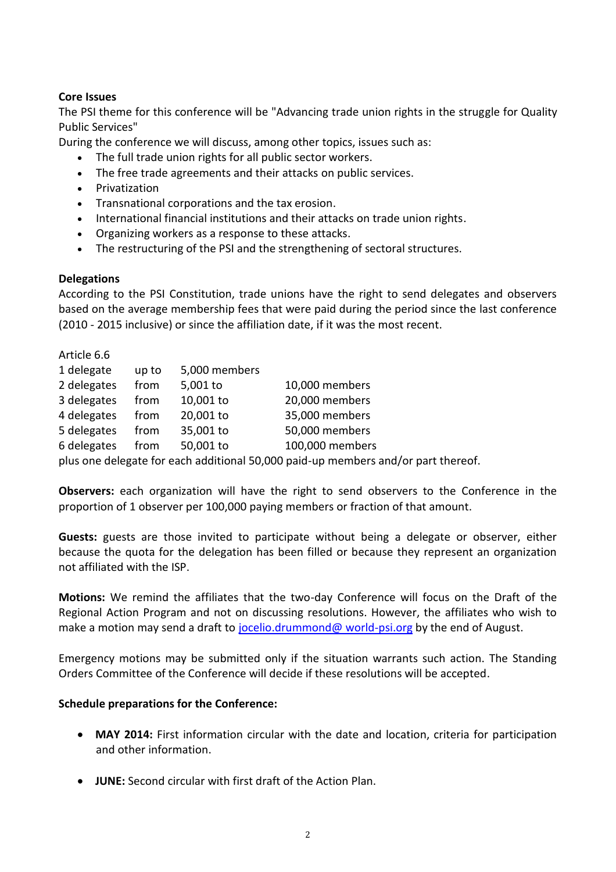#### **Core Issues**

The PSI theme for this conference will be "Advancing trade union rights in the struggle for Quality Public Services"

During the conference we will discuss, among other topics, issues such as:

- The full trade union rights for all public sector workers.
- The free trade agreements and their attacks on public services.
- Privatization
- Transnational corporations and the tax erosion.
- International financial institutions and their attacks on trade union rights.
- Organizing workers as a response to these attacks.
- The restructuring of the PSI and the strengthening of sectoral structures.

#### **Delegations**

According to the PSI Constitution, trade unions have the right to send delegates and observers based on the average membership fees that were paid during the period since the last conference (2010 - 2015 inclusive) or since the affiliation date, if it was the most recent.

| Article 6.6                                                                |       |               |                 |
|----------------------------------------------------------------------------|-------|---------------|-----------------|
| 1 delegate                                                                 | up to | 5,000 members |                 |
| 2 delegates                                                                | from  | 5,001 to      | 10,000 members  |
| 3 delegates                                                                | from  | 10,001 to     | 20,000 members  |
| 4 delegates                                                                | from  | 20,001 to     | 35,000 members  |
| 5 delegates                                                                | from  | 35,001 to     | 50,000 members  |
| 6 delegates                                                                | from  | 50,001 to     | 100,000 members |
| alus ana delegate far esek additional EO 000 noid un mendere end der rout. |       |               |                 |

plus one delegate for each additional 50,000 paid-up members and/or part thereof.

**Observers:** each organization will have the right to send observers to the Conference in the proportion of 1 observer per 100,000 paying members or fraction of that amount.

**Guests:** guests are those invited to participate without being a delegate or observer, either because the quota for the delegation has been filled or because they represent an organization not affiliated with the ISP.

**Motions:** We remind the affiliates that the two-day Conference will focus on the Draft of the Regional Action Program and not on discussing resolutions. However, the affiliates who wish to make a motion may send a draft to [jocelio.drummond@ world-psi.org](mailto:jocelio.drummond@%20world-psi.org) by the end of August.

Emergency motions may be submitted only if the situation warrants such action. The Standing Orders Committee of the Conference will decide if these resolutions will be accepted.

#### **Schedule preparations for the Conference:**

- **MAY 2014:** First information circular with the date and location, criteria for participation and other information.
- **JUNE:** Second circular with first draft of the Action Plan.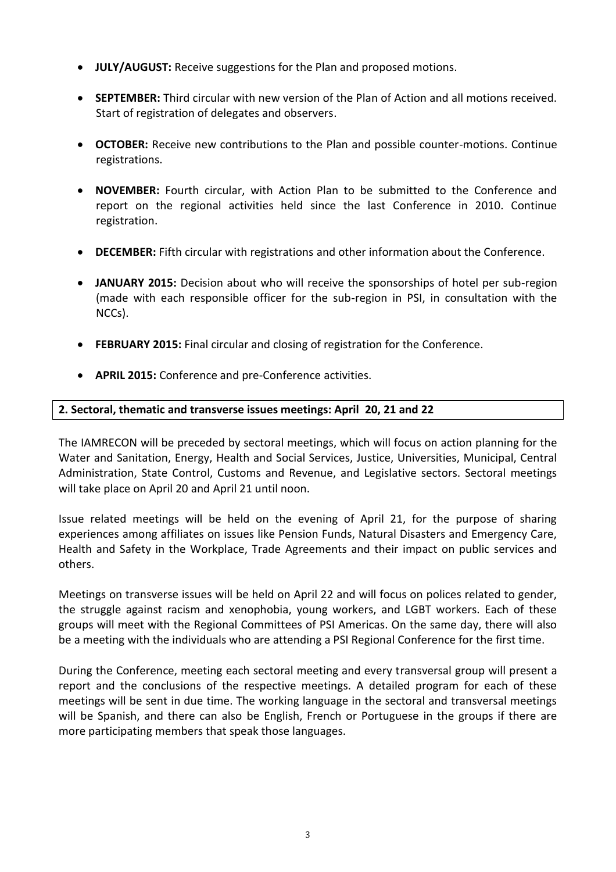- **JULY/AUGUST:** Receive suggestions for the Plan and proposed motions.
- **SEPTEMBER:** Third circular with new version of the Plan of Action and all motions received. Start of registration of delegates and observers.
- **OCTOBER:** Receive new contributions to the Plan and possible counter-motions. Continue registrations.
- **NOVEMBER:** Fourth circular, with Action Plan to be submitted to the Conference and report on the regional activities held since the last Conference in 2010. Continue registration.
- **DECEMBER:** Fifth circular with registrations and other information about the Conference.
- **JANUARY 2015:** Decision about who will receive the sponsorships of hotel per sub-region (made with each responsible officer for the sub-region in PSI, in consultation with the NCCs).
- **FEBRUARY 2015:** Final circular and closing of registration for the Conference.
- **APRIL 2015:** Conference and pre-Conference activities.

## **2. Sectoral, thematic and transverse issues meetings: April 20, 21 and 22**

The IAMRECON will be preceded by sectoral meetings, which will focus on action planning for the Water and Sanitation, Energy, Health and Social Services, Justice, Universities, Municipal, Central Administration, State Control, Customs and Revenue, and Legislative sectors. Sectoral meetings will take place on April 20 and April 21 until noon.

Issue related meetings will be held on the evening of April 21, for the purpose of sharing experiences among affiliates on issues like Pension Funds, Natural Disasters and Emergency Care, Health and Safety in the Workplace, Trade Agreements and their impact on public services and others.

Meetings on transverse issues will be held on April 22 and will focus on polices related to gender, the struggle against racism and xenophobia, young workers, and LGBT workers. Each of these groups will meet with the Regional Committees of PSI Americas. On the same day, there will also be a meeting with the individuals who are attending a PSI Regional Conference for the first time.

During the Conference, meeting each sectoral meeting and every transversal group will present a report and the conclusions of the respective meetings. A detailed program for each of these meetings will be sent in due time. The working language in the sectoral and transversal meetings will be Spanish, and there can also be English, French or Portuguese in the groups if there are more participating members that speak those languages.